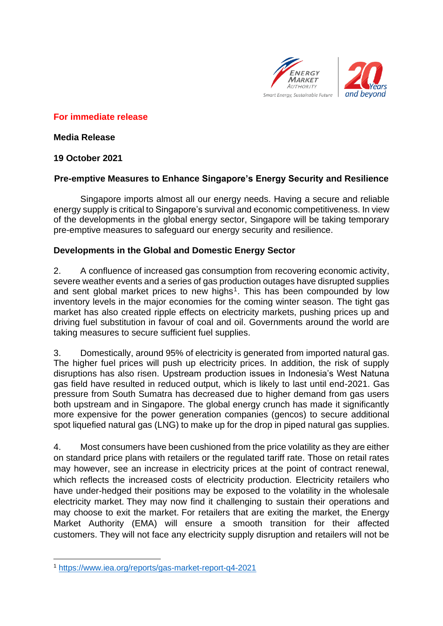

# **For immediate release**

**Media Release**

# **19 October 2021**

# **Pre-emptive Measures to Enhance Singapore's Energy Security and Resilience**

Singapore imports almost all our energy needs. Having a secure and reliable energy supply is critical to Singapore's survival and economic competitiveness. In view of the developments in the global energy sector, Singapore will be taking temporary pre-emptive measures to safeguard our energy security and resilience.

### **Developments in the Global and Domestic Energy Sector**

2. A confluence of increased gas consumption from recovering economic activity, severe weather events and a series of gas production outages have disrupted supplies and sent global market prices to new highs<sup>1</sup>. This has been compounded by low inventory levels in the major economies for the coming winter season. The tight gas market has also created ripple effects on electricity markets, pushing prices up and driving fuel substitution in favour of coal and oil. Governments around the world are taking measures to secure sufficient fuel supplies.

3. Domestically, around 95% of electricity is generated from imported natural gas. The higher fuel prices will push up electricity prices. In addition, the risk of supply disruptions has also risen. Upstream production issues in Indonesia's West Natuna gas field have resulted in reduced output, which is likely to last until end-2021. Gas pressure from South Sumatra has decreased due to higher demand from gas users both upstream and in Singapore. The global energy crunch has made it significantly more expensive for the power generation companies (gencos) to secure additional spot liquefied natural gas (LNG) to make up for the drop in piped natural gas supplies.

4. Most consumers have been cushioned from the price volatility as they are either on standard price plans with retailers or the regulated tariff rate. Those on retail rates may however, see an increase in electricity prices at the point of contract renewal, which reflects the increased costs of electricity production. Electricity retailers who have under-hedged their positions may be exposed to the volatility in the wholesale electricity market. They may now find it challenging to sustain their operations and may choose to exit the market. For retailers that are exiting the market, the Energy Market Authority (EMA) will ensure a smooth transition for their affected customers. They will not face any electricity supply disruption and retailers will not be

<sup>1</sup> <https://www.iea.org/reports/gas-market-report-q4-2021>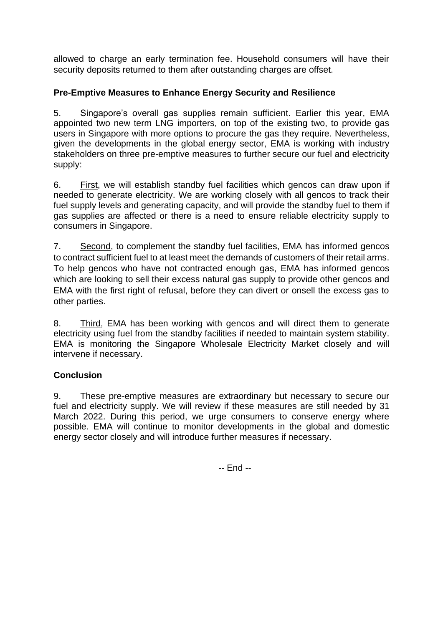allowed to charge an early termination fee. Household consumers will have their security deposits returned to them after outstanding charges are offset.

# **Pre-Emptive Measures to Enhance Energy Security and Resilience**

5. Singapore's overall gas supplies remain sufficient. Earlier this year, EMA appointed two new term LNG importers, on top of the existing two, to provide gas users in Singapore with more options to procure the gas they require. Nevertheless, given the developments in the global energy sector, EMA is working with industry stakeholders on three pre-emptive measures to further secure our fuel and electricity supply:

6. First, we will establish standby fuel facilities which gencos can draw upon if needed to generate electricity. We are working closely with all gencos to track their fuel supply levels and generating capacity, and will provide the standby fuel to them if gas supplies are affected or there is a need to ensure reliable electricity supply to consumers in Singapore.

7. Second, to complement the standby fuel facilities, EMA has informed gencos to contract sufficient fuel to at least meet the demands of customers of their retail arms. To help gencos who have not contracted enough gas, EMA has informed gencos which are looking to sell their excess natural gas supply to provide other gencos and EMA with the first right of refusal, before they can divert or onsell the excess gas to other parties.

8. Third, EMA has been working with gencos and will direct them to generate electricity using fuel from the standby facilities if needed to maintain system stability. EMA is monitoring the Singapore Wholesale Electricity Market closely and will intervene if necessary.

### **Conclusion**

9. These pre-emptive measures are extraordinary but necessary to secure our fuel and electricity supply. We will review if these measures are still needed by 31 March 2022. During this period, we urge consumers to conserve energy where possible. EMA will continue to monitor developments in the global and domestic energy sector closely and will introduce further measures if necessary.

-- End --